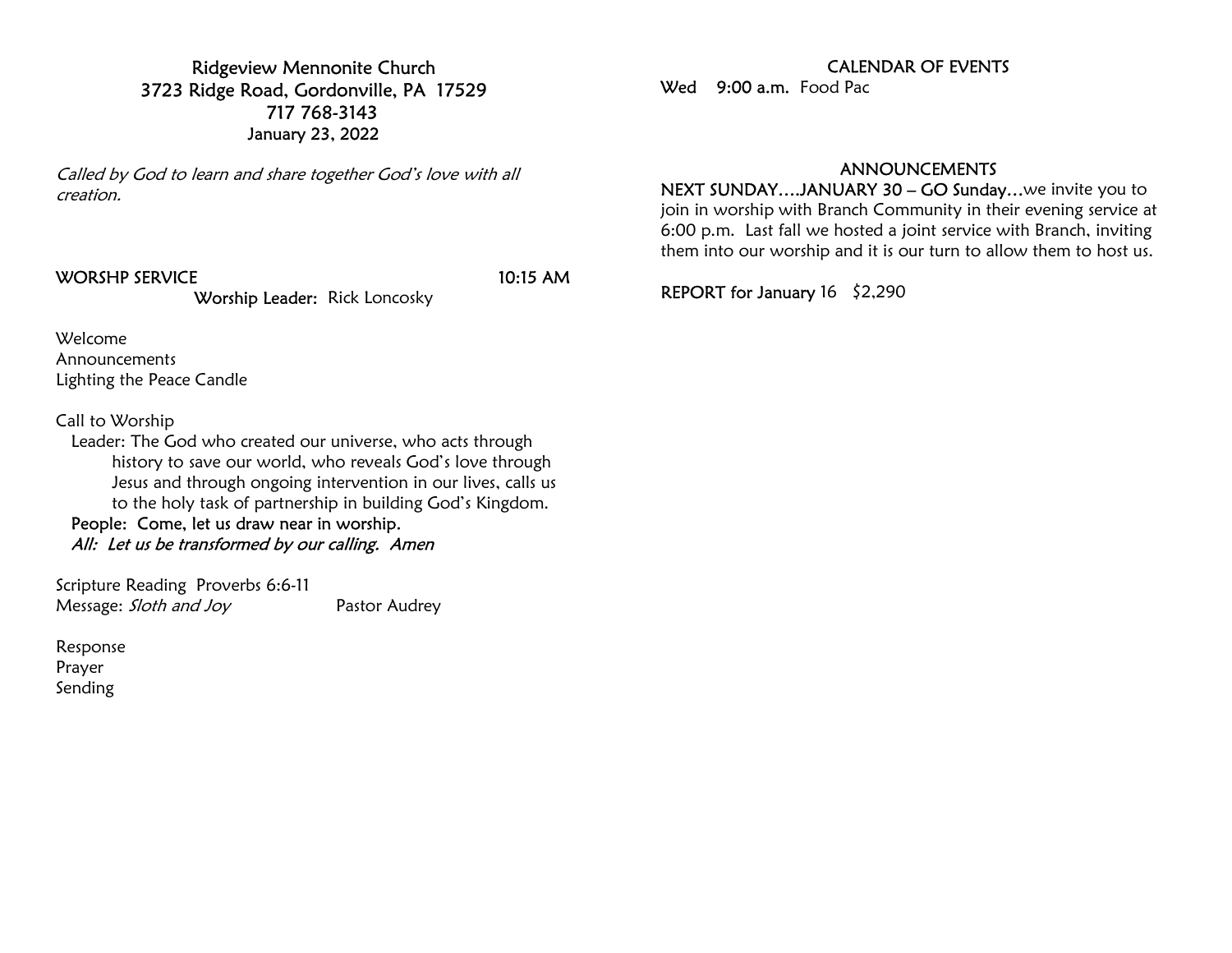Ridgeview Mennonite Church 3723 Ridge Road, Gordonville, PA 17529 717 768-3143 January 23, 2022

Called by God to learn and share together God's love with all creation.

## WORSHP SERVICE 10:15 AM

Worship Leader: Rick Loncosky

Welcome

Announcements Lighting the Peace Candle

Call to Worship

 Leader: The God who created our universe, who acts through history to save our world, who reveals God's love through Jesus and through ongoing intervention in our lives, calls us to the holy task of partnership in building God's Kingdom.

 People: Come, let us draw near in worship. All: Let us be transformed by our calling. Amen

Scripture Reading Proverbs 6:6-11 Message: Sloth and Joy Pastor Audrey

Response Prayer Sending

## CALENDAR OF EVENTS

Wed 9:00 a.m. Food Pac

## ANNOUNCEMENTS

NEXT SUNDAY….JANUARY 30 – GO Sunday…we invite you to join in worship with Branch Community in their evening service at 6:00 p.m. Last fall we hosted a joint service with Branch, inviting them into our worship and it is our turn to allow them to host us.

REPORT for January 16 \$2,290